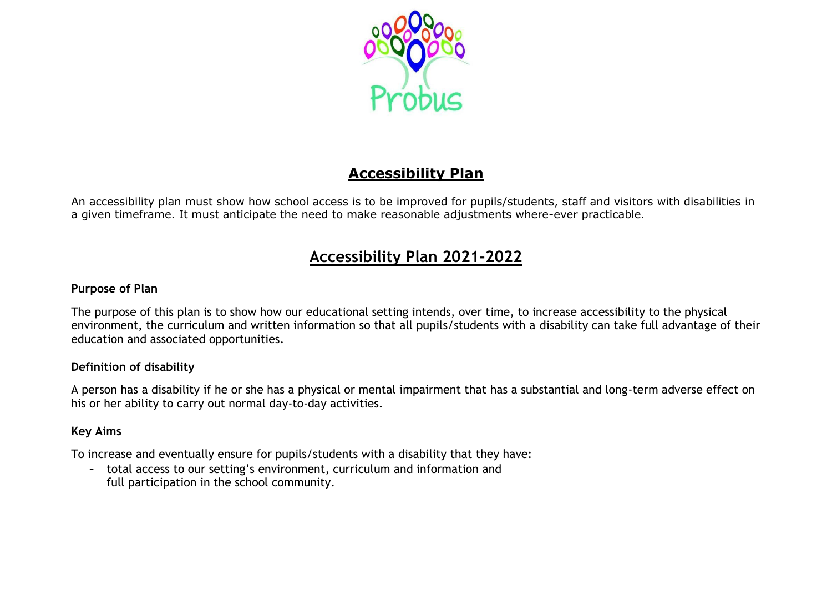

# **Accessibility Plan**

An accessibility plan must show how school access is to be improved for pupils/students, staff and visitors with disabilities in a given timeframe. It must anticipate the need to make reasonable adjustments where-ever practicable.

# **Accessibility Plan 2021-2022**

# **Purpose of Plan**

The purpose of this plan is to show how our educational setting intends, over time, to increase accessibility to the physical environment, the curriculum and written information so that all pupils/students with a disability can take full advantage of their education and associated opportunities.

# **Definition of disability**

A person has a disability if he or she has a physical or mental impairment that has a substantial and long-term adverse effect on his or her ability to carry out normal day-to-day activities.

# **Key Aims**

To increase and eventually ensure for pupils/students with a disability that they have:

- total access to our setting's environment, curriculum and information and full participation in the school community.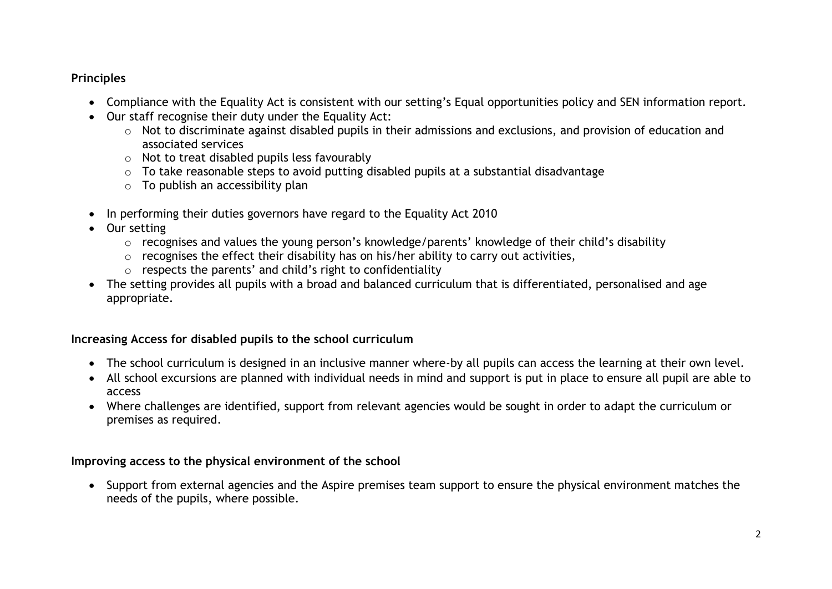# **Principles**

- Compliance with the Equality Act is consistent with our setting's Equal opportunities policy and SEN information report.
- Our staff recognise their duty under the Equality Act:
	- o Not to discriminate against disabled pupils in their admissions and exclusions, and provision of education and associated services
	- o Not to treat disabled pupils less favourably
	- o To take reasonable steps to avoid putting disabled pupils at a substantial disadvantage
	- $\circ$  To publish an accessibility plan
- In performing their duties governors have regard to the Equality Act 2010
- Our setting
	- o recognises and values the young person's knowledge/parents' knowledge of their child's disability
	- $\circ$  recognises the effect their disability has on his/her ability to carry out activities,
	- o respects the parents' and child's right to confidentiality
- The setting provides all pupils with a broad and balanced curriculum that is differentiated, personalised and age appropriate.

# **Increasing Access for disabled pupils to the school curriculum**

- The school curriculum is designed in an inclusive manner where-by all pupils can access the learning at their own level.
- All school excursions are planned with individual needs in mind and support is put in place to ensure all pupil are able to access
- Where challenges are identified, support from relevant agencies would be sought in order to adapt the curriculum or premises as required.

# **Improving access to the physical environment of the school**

• Support from external agencies and the Aspire premises team support to ensure the physical environment matches the needs of the pupils, where possible.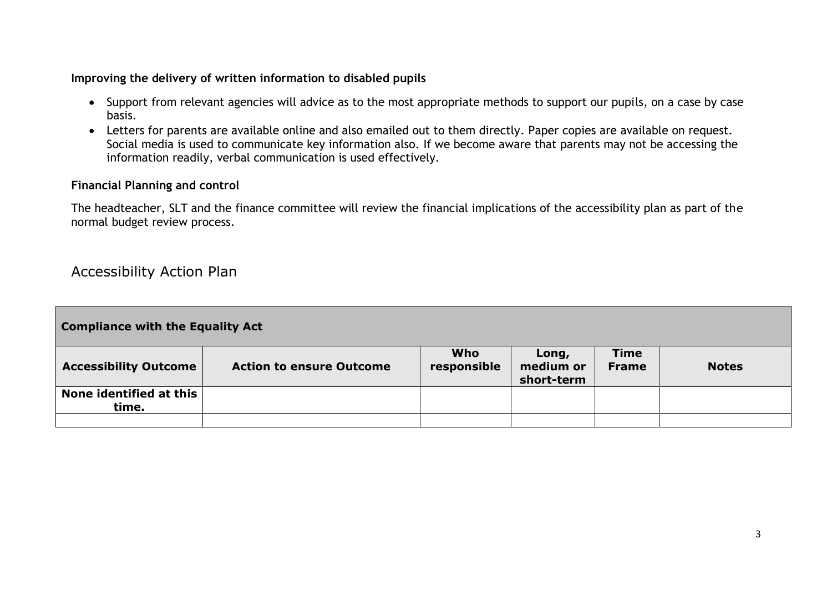# **Improving the delivery of written information to disabled pupils**

- Support from relevant agencies will advice as to the most appropriate methods to support our pupils, on a case by case basis.
- Letters for parents are available online and also emailed out to them directly. Paper copies are available on request. Social media is used to communicate key information also. If we become aware that parents may not be accessing the information readily, verbal communication is used effectively.

#### **Financial Planning and control**

The headteacher, SLT and the finance committee will review the financial implications of the accessibility plan as part of the normal budget review process.

# Accessibility Action Plan

| <b>Compliance with the Equality Act</b> |                                 |                           |                                  |                             |              |  |
|-----------------------------------------|---------------------------------|---------------------------|----------------------------------|-----------------------------|--------------|--|
| <b>Accessibility Outcome</b>            | <b>Action to ensure Outcome</b> | <b>Who</b><br>responsible | Long,<br>medium or<br>short-term | <b>Time</b><br><b>Frame</b> | <b>Notes</b> |  |
| None identified at this<br>time.        |                                 |                           |                                  |                             |              |  |
|                                         |                                 |                           |                                  |                             |              |  |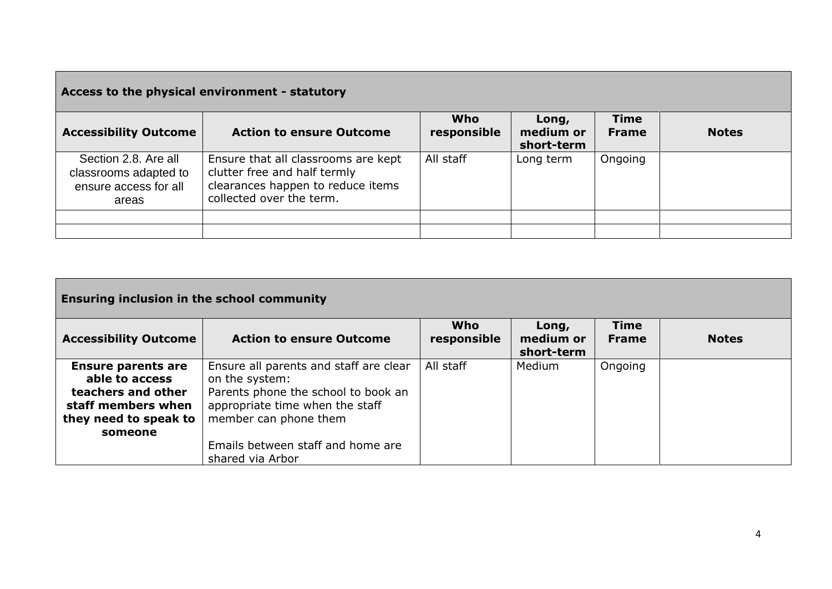| Access to the physical environment - statutory                                  |                                                                                                                                      |                    |                                  |                             |              |
|---------------------------------------------------------------------------------|--------------------------------------------------------------------------------------------------------------------------------------|--------------------|----------------------------------|-----------------------------|--------------|
| <b>Accessibility Outcome</b>                                                    | <b>Action to ensure Outcome</b>                                                                                                      | Who<br>responsible | Long,<br>medium or<br>short-term | <b>Time</b><br><b>Frame</b> | <b>Notes</b> |
| Section 2.8. Are all<br>classrooms adapted to<br>ensure access for all<br>areas | Ensure that all classrooms are kept<br>clutter free and half termly<br>clearances happen to reduce items<br>collected over the term. | All staff          | Long term                        | Ongoing                     |              |
|                                                                                 |                                                                                                                                      |                    |                                  |                             |              |
|                                                                                 |                                                                                                                                      |                    |                                  |                             |              |

| <b>Ensuring inclusion in the school community</b>                                                                           |                                                                                                                                                             |                           |                                  |                             |              |  |
|-----------------------------------------------------------------------------------------------------------------------------|-------------------------------------------------------------------------------------------------------------------------------------------------------------|---------------------------|----------------------------------|-----------------------------|--------------|--|
| <b>Accessibility Outcome</b>                                                                                                | <b>Action to ensure Outcome</b>                                                                                                                             | <b>Who</b><br>responsible | Long,<br>medium or<br>short-term | <b>Time</b><br><b>Frame</b> | <b>Notes</b> |  |
| <b>Ensure parents are</b><br>able to access<br>teachers and other<br>staff members when<br>they need to speak to<br>someone | Ensure all parents and staff are clear<br>on the system:<br>Parents phone the school to book an<br>appropriate time when the staff<br>member can phone them | All staff                 | Medium                           | Ongoing                     |              |  |
|                                                                                                                             | Emails between staff and home are<br>shared via Arbor                                                                                                       |                           |                                  |                             |              |  |